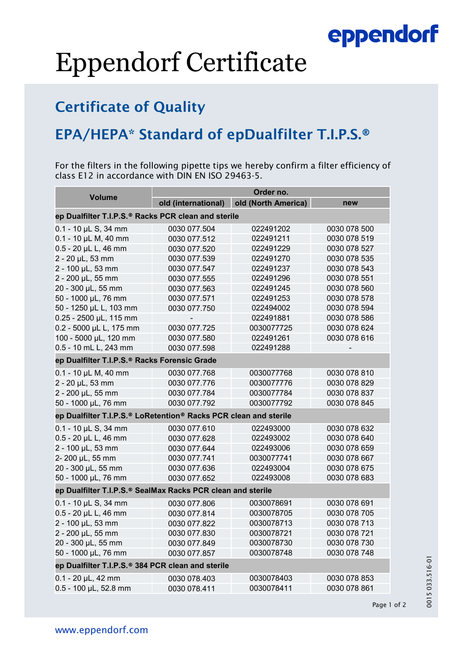## eppendorf

# Eppendorf Certificate

### Certificate of Quality

### EPA/HEPA\* Standard of epDualfilter T.I.P.S.®

For the filters in the following pipette tips we hereby confirm a filter efficiency of class E12 in accordance with DIN EN ISO 29463-5.

| <b>Volume</b>                                                    | Order no.           |                     |              |
|------------------------------------------------------------------|---------------------|---------------------|--------------|
|                                                                  | old (international) | old (North America) | new          |
| ep Dualfilter T.I.P.S.® Racks PCR clean and sterile              |                     |                     |              |
| $0.1 - 10$ µL S, 34 mm                                           | 0030 077.504        | 022491202           | 0030 078 500 |
| $0.1 - 10$ µL M, 40 mm                                           | 0030 077.512        | 022491211           | 0030 078 519 |
| 0.5 - 20 µL L, 46 mm                                             | 0030 077.520        | 022491229           | 0030 078 527 |
| 2 - 20 µL, 53 mm                                                 | 0030 077.539        | 022491270           | 0030 078 535 |
| 2 - 100 µL, 53 mm                                                | 0030 077.547        | 022491237           | 0030 078 543 |
| 2 - 200 µL, 55 mm                                                | 0030 077.555        | 022491296           | 0030 078 551 |
| 20 - 300 µL, 55 mm                                               | 0030 077.563        | 022491245           | 0030 078 560 |
| 50 - 1000 µL, 76 mm                                              | 0030 077.571        | 022491253           | 0030 078 578 |
| 50 - 1250 µL L, 103 mm                                           | 0030 077.750        | 022494002           | 0030 078 594 |
| 0.25 - 2500 µL, 115 mm                                           |                     | 022491881           | 0030 078 586 |
| 0.2 - 5000 µL L, 175 mm                                          | 0030 077.725        | 0030077725          | 0030 078 624 |
| 100 - 5000 µL, 120 mm                                            | 0030 077.580        | 022491261           | 0030 078 616 |
| 0.5 - 10 mL L, 243 mm                                            | 0030 077.598        | 022491288           |              |
| ep Dualfilter T.I.P.S.® Racks Forensic Grade                     |                     |                     |              |
| $0.1 - 10$ µL M, 40 mm                                           | 0030 077.768        | 0030077768          | 0030 078 810 |
| 2 - 20 µL, 53 mm                                                 | 0030 077.776        | 0030077776          | 0030 078 829 |
| 2 - 200 µL, 55 mm                                                | 0030 077.784        | 0030077784          | 0030 078 837 |
| 50 - 1000 µL, 76 mm                                              | 0030 077.792        | 0030077792          | 0030 078 845 |
| ep Dualfilter T.I.P.S.® LoRetention® Racks PCR clean and sterile |                     |                     |              |
| $0.1 - 10$ µL S, 34 mm                                           | 0030 077.610        | 022493000           | 0030 078 632 |
| 0.5 - 20 µL L, 46 mm                                             | 0030 077.628        | 022493002           | 0030 078 640 |
| 2 - 100 µL, 53 mm                                                | 0030 077.644        | 022493006           | 0030 078 659 |
| 2-200 µL, 55 mm                                                  | 0030 077.741        | 0030077741          | 0030 078 667 |
| 20 - 300 µL, 55 mm                                               | 0030 077.636        | 022493004           | 0030 078 675 |
| 50 - 1000 µL, 76 mm                                              | 0030 077.652        | 022493008           | 0030 078 683 |
| ep Dualfilter T.I.P.S.® SealMax Racks PCR clean and sterile      |                     |                     |              |
| 0.1 - 10 µL S, 34 mm                                             | 0030 077.806        | 0030078691          | 0030 078 691 |
| 0.5 - 20 µL L, 46 mm                                             | 0030 077.814        | 0030078705          | 0030 078 705 |
| 2 - 100 µL, 53 mm                                                | 0030 077.822        | 0030078713          | 0030 078 713 |
| 2 - 200 µL, 55 mm                                                | 0030 077.830        | 0030078721          | 0030 078 721 |
| 20 - 300 µL, 55 mm                                               | 0030 077.849        | 0030078730          | 0030 078 730 |
| 50 - 1000 µL, 76 mm                                              | 0030 077.857        | 0030078748          | 0030 078 748 |
| ep Dualfilter T.I.P.S. <sup>®</sup> 384 PCR clean and sterile    |                     |                     |              |
| $0.1 - 20$ µL, 42 mm                                             | 0030 078.403        | 0030078403          | 0030 078 853 |
| 0.5 - 100 µL, 52.8 mm                                            | 0030 078.411        | 0030078411          | 0030 078 861 |